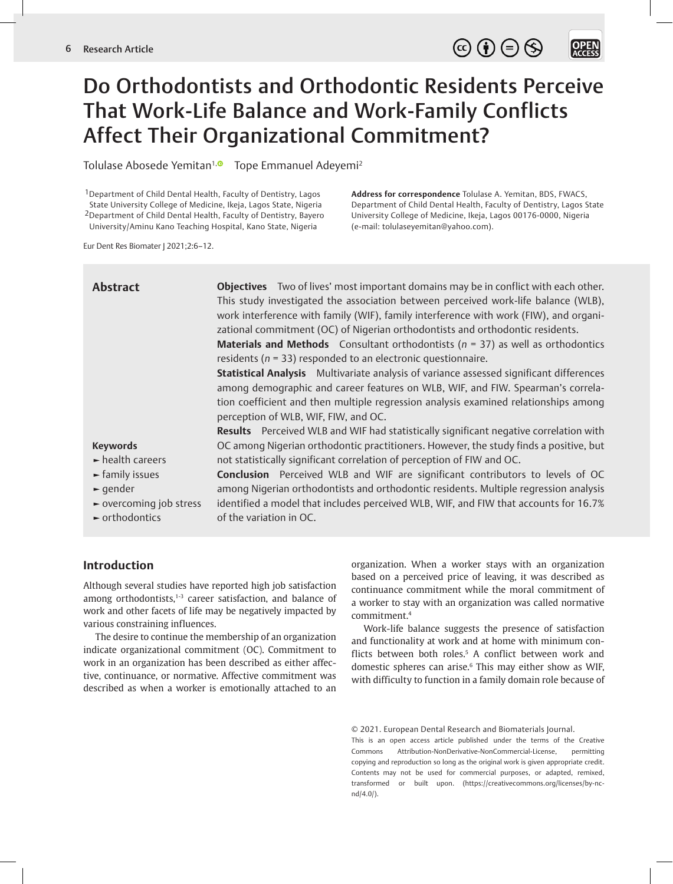$\circledcirc \oplus \circledcirc$ **OPEN**<br>ACCESS

# Do Orthodontists and Orthodontic Residents Perceive That Work-Life Balance and Work-Family Conflicts Affect Their Organizational Commitment?

Tolulase Abosede Yemitan<sup>1, 1</sup> Tope Emmanuel Adeyemi<sup>2</sup>

<sup>1</sup> Department of Child Dental Health, Faculty of Dentistry, Lagos State University College of Medicine, Ikeja, Lagos State, Nigeria 2Department of Child Dental Health, Faculty of Dentistry, Bayero University/Aminu Kano Teaching Hospital, Kano State, Nigeria

**Address for correspondence** Tolulase A. Yemitan, BDS, FWACS, Department of Child Dental Health, Faculty of Dentistry, Lagos State University College of Medicine, Ikeja, Lagos 00176-0000, Nigeria (e-mail: tolulaseyemitan@yahoo.com).

Eur Dent Res Biomater J 2021;2:6–12.

| <b>Abstract</b>                      | <b>Objectives</b> Two of lives' most important domains may be in conflict with each other.<br>This study investigated the association between perceived work-life balance (WLB),<br>work interference with family (WIF), family interference with work (FIW), and organi-<br>zational commitment (OC) of Nigerian orthodontists and orthodontic residents.<br><b>Materials and Methods</b> Consultant orthodontists ( $n = 37$ ) as well as orthodontics<br>residents ( $n = 33$ ) responded to an electronic questionnaire.<br>Statistical Analysis Multivariate analysis of variance assessed significant differences<br>among demographic and career features on WLB, WIF, and FIW. Spearman's correla-<br>tion coefficient and then multiple regression analysis examined relationships among<br>perception of WLB, WIF, FIW, and OC.<br>Results Perceived WLB and WIF had statistically significant negative correlation with |
|--------------------------------------|------------------------------------------------------------------------------------------------------------------------------------------------------------------------------------------------------------------------------------------------------------------------------------------------------------------------------------------------------------------------------------------------------------------------------------------------------------------------------------------------------------------------------------------------------------------------------------------------------------------------------------------------------------------------------------------------------------------------------------------------------------------------------------------------------------------------------------------------------------------------------------------------------------------------------------|
| <b>Keywords</b>                      | OC among Nigerian orthodontic practitioners. However, the study finds a positive, but                                                                                                                                                                                                                                                                                                                                                                                                                                                                                                                                                                                                                                                                                                                                                                                                                                              |
| $\blacktriangleright$ health careers | not statistically significant correlation of perception of FIW and OC.                                                                                                                                                                                                                                                                                                                                                                                                                                                                                                                                                                                                                                                                                                                                                                                                                                                             |
| $\blacktriangleright$ family issues  | <b>Conclusion</b> Perceived WLB and WIF are significant contributors to levels of OC                                                                                                                                                                                                                                                                                                                                                                                                                                                                                                                                                                                                                                                                                                                                                                                                                                               |
| $\blacktriangleright$ qender         | among Nigerian orthodontists and orthodontic residents. Multiple regression analysis                                                                                                                                                                                                                                                                                                                                                                                                                                                                                                                                                                                                                                                                                                                                                                                                                                               |
| ► overcoming job stress              | identified a model that includes perceived WLB, WIF, and FIW that accounts for 16.7%                                                                                                                                                                                                                                                                                                                                                                                                                                                                                                                                                                                                                                                                                                                                                                                                                                               |
| $\blacktriangleright$ orthodontics   | of the variation in OC.                                                                                                                                                                                                                                                                                                                                                                                                                                                                                                                                                                                                                                                                                                                                                                                                                                                                                                            |

# **Introduction**

Although several studies have reported high job satisfaction among orthodontists, $1-3$  career satisfaction, and balance of work and other facets of life may be negatively impacted by various constraining influences.

The desire to continue the membership of an organization indicate organizational commitment (OC). Commitment to work in an organization has been described as either affective, continuance, or normative. Affective commitment was described as when a worker is emotionally attached to an

organization. When a worker stays with an organization based on a perceived price of leaving, it was described as continuance commitment while the moral commitment of a worker to stay with an organization was called normative commitment.<sup>4</sup>

Work-life balance suggests the presence of satisfaction and functionality at work and at home with minimum conflicts between both roles.<sup>5</sup> A conflict between work and domestic spheres can arise.<sup>6</sup> This may either show as WIF, with difficulty to function in a family domain role because of

© 2021. European Dental Research and Biomaterials Journal.

This is an open access article published under the terms of the Creative Commons Attribution-NonDerivative-NonCommercial-License, permitting copying and reproduction so long as the original work is given appropriate credit. Contents may not be used for commercial purposes, or adapted, remixed, transformed or built upon. (https://creativecommons.org/licenses/by-ncnd/4.0/).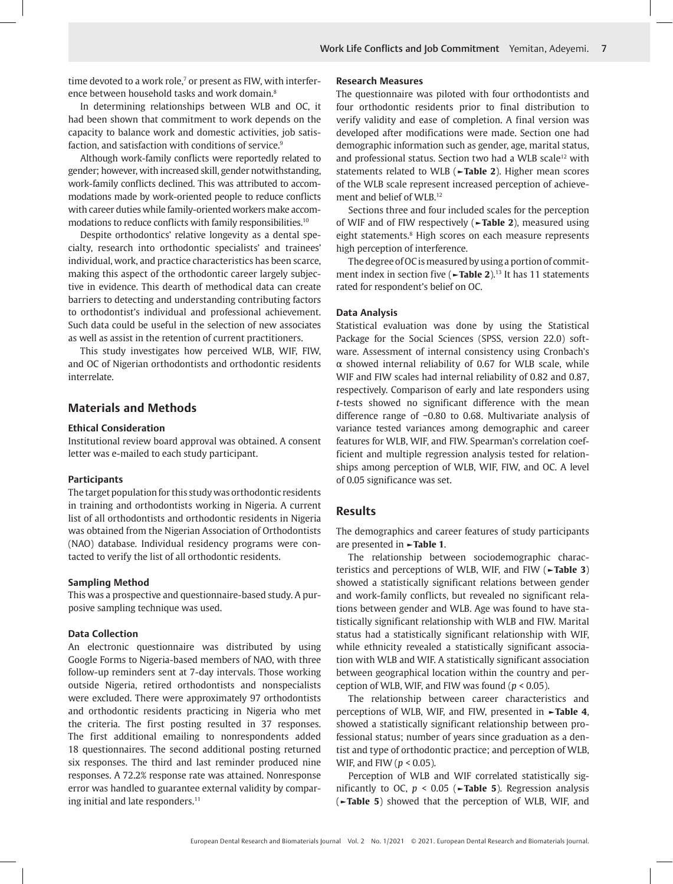time devoted to a work role,<sup>7</sup> or present as FIW, with interference between household tasks and work domain.8

In determining relationships between WLB and OC, it had been shown that commitment to work depends on the capacity to balance work and domestic activities, job satisfaction, and satisfaction with conditions of service.<sup>9</sup>

Although work-family conflicts were reportedly related to gender; however, with increased skill, gender notwithstanding, work-family conflicts declined. This was attributed to accommodations made by work-oriented people to reduce conflicts with career duties while family-oriented workers make accommodations to reduce conflicts with family responsibilities.10

Despite orthodontics' relative longevity as a dental specialty, research into orthodontic specialists' and trainees' individual, work, and practice characteristics has been scarce, making this aspect of the orthodontic career largely subjective in evidence. This dearth of methodical data can create barriers to detecting and understanding contributing factors to orthodontist's individual and professional achievement. Such data could be useful in the selection of new associates as well as assist in the retention of current practitioners.

This study investigates how perceived WLB, WIF, FIW, and OC of Nigerian orthodontists and orthodontic residents interrelate.

### **Materials and Methods**

#### **Ethical Consideration**

Institutional review board approval was obtained. A consent letter was e-mailed to each study participant.

#### **Participants**

The target population for this study was orthodontic residents in training and orthodontists working in Nigeria. A current list of all orthodontists and orthodontic residents in Nigeria was obtained from the Nigerian Association of Orthodontists (NAO) database. Individual residency programs were contacted to verify the list of all orthodontic residents.

#### **Sampling Method**

This was a prospective and questionnaire-based study. A purposive sampling technique was used.

#### **Data Collection**

An electronic questionnaire was distributed by using Google Forms to Nigeria-based members of NAO, with three follow-up reminders sent at 7-day intervals. Those working outside Nigeria, retired orthodontists and nonspecialists were excluded. There were approximately 97 orthodontists and orthodontic residents practicing in Nigeria who met the criteria. The first posting resulted in 37 responses. The first additional emailing to nonrespondents added 18 questionnaires. The second additional posting returned six responses. The third and last reminder produced nine responses. A 72.2% response rate was attained. Nonresponse error was handled to guarantee external validity by comparing initial and late responders.<sup>11</sup>

#### **Research Measures**

The questionnaire was piloted with four orthodontists and four orthodontic residents prior to final distribution to verify validity and ease of completion. A final version was developed after modifications were made. Section one had demographic information such as gender, age, marital status, and professional status. Section two had a WLB scale<sup>12</sup> with statements related to WLB (**►Table 2**). Higher mean scores of the WLB scale represent increased perception of achievement and belief of WLB.12

Sections three and four included scales for the perception of WIF and of FIW respectively (**►Table 2**), measured using eight statements.<sup>8</sup> High scores on each measure represents high perception of interference.

The degree of OC is measured by using a portion of commitment index in section five (**►Table 2**).13 It has 11 statements rated for respondent's belief on OC.

#### **Data Analysis**

Statistical evaluation was done by using the Statistical Package for the Social Sciences (SPSS, version 22.0) software. Assessment of internal consistency using Cronbach's α showed internal reliability of 0.67 for WLB scale, while WIF and FIW scales had internal reliability of 0.82 and 0.87, respectively. Comparison of early and late responders using *t*-tests showed no significant difference with the mean difference range of −0.80 to 0.68. Multivariate analysis of variance tested variances among demographic and career features for WLB, WIF, and FIW. Spearman's correlation coefficient and multiple regression analysis tested for relationships among perception of WLB, WIF, FIW, and OC. A level of 0.05 significance was set.

#### **Results**

The demographics and career features of study participants are presented in **►Table 1**.

The relationship between sociodemographic characteristics and perceptions of WLB, WIF, and FIW (**►Table 3**) showed a statistically significant relations between gender and work-family conflicts, but revealed no significant relations between gender and WLB. Age was found to have statistically significant relationship with WLB and FIW. Marital status had a statistically significant relationship with WIF, while ethnicity revealed a statistically significant association with WLB and WIF. A statistically significant association between geographical location within the country and perception of WLB, WIF, and FIW was found (*p* < 0.05).

The relationship between career characteristics and perceptions of WLB, WIF, and FIW, presented in **►Table 4**, showed a statistically significant relationship between professional status; number of years since graduation as a dentist and type of orthodontic practice; and perception of WLB, WIF, and FIW (*p* < 0.05).

Perception of WLB and WIF correlated statistically significantly to OC, *p* < 0.05 (**►Table 5**). Regression analysis (**►Table 5**) showed that the perception of WLB, WIF, and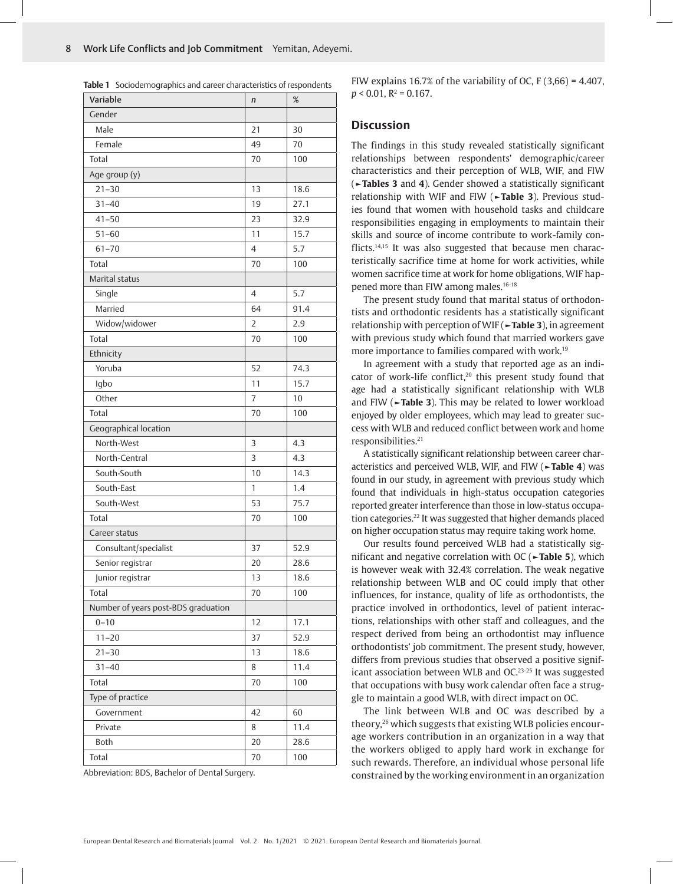| Variable                            | n  | %    |
|-------------------------------------|----|------|
| Gender                              |    |      |
| Male                                | 21 | 30   |
| Female                              | 49 | 70   |
| Total                               | 70 | 100  |
| Age group (y)                       |    |      |
| $21 - 30$                           | 13 | 18.6 |
| $31 - 40$                           | 19 | 27.1 |
| $41 - 50$                           | 23 | 32.9 |
| $51 - 60$                           | 11 | 15.7 |
| $61 - 70$                           | 4  | 5.7  |
| Total                               | 70 | 100  |
| Marital status                      |    |      |
| Single                              | 4  | 5.7  |
| Married                             | 64 | 91.4 |
| Widow/widower                       | 2  | 2.9  |
| Total                               | 70 | 100  |
| Ethnicity                           |    |      |
| Yoruba                              | 52 | 74.3 |
| Igbo                                | 11 | 15.7 |
| Other                               | 7  | 10   |
| Total                               | 70 | 100  |
| Geographical location               |    |      |
| North-West                          | 3  | 4.3  |
| North-Central                       | 3  | 4.3  |
| South-South                         | 10 | 14.3 |
| South-East                          | 1  | 1.4  |
| South-West                          | 53 | 75.7 |
| Total                               | 70 | 100  |
| Career status                       |    |      |
| Consultant/specialist               | 37 | 52.9 |
| Senior registrar                    | 20 | 28.6 |
| Junior registrar                    | 13 | 18.6 |
| Total                               | 70 | 100  |
| Number of years post-BDS graduation |    |      |
| $0 - 10$                            | 12 | 17.1 |
| $11 - 20$                           | 37 | 52.9 |
| $21 - 30$                           | 13 | 18.6 |
| $31 - 40$                           | 8  | 11.4 |
| Total                               | 70 | 100  |
| Type of practice                    |    |      |
| Government                          | 42 | 60   |
| Private                             | 8  | 11.4 |
| Both                                | 20 | 28.6 |
| Total                               | 70 | 100  |

**Table 1** Sociodemographics and career characteristics of respondents

Abbreviation: BDS, Bachelor of Dental Surgery.

FIW explains 16.7% of the variability of OC, F  $(3,66) = 4.407$ ,  $p < 0.01$ ,  $R^2 = 0.167$ .

#### **Discussion**

The findings in this study revealed statistically significant relationships between respondents' demographic/career characteristics and their perception of WLB, WIF, and FIW (**►Tables 3** and **4**). Gender showed a statistically significant relationship with WIF and FIW (**►Table 3**). Previous studies found that women with household tasks and childcare responsibilities engaging in employments to maintain their skills and source of income contribute to work-family conflicts.<sup>14,15</sup> It was also suggested that because men characteristically sacrifice time at home for work activities, while women sacrifice time at work for home obligations, WIF happened more than FIW among males.<sup>16-18</sup>

The present study found that marital status of orthodontists and orthodontic residents has a statistically significant relationship with perception of WIF (**►Table 3**), in agreement with previous study which found that married workers gave more importance to families compared with work.<sup>19</sup>

In agreement with a study that reported age as an indicator of work-life conflict,<sup>20</sup> this present study found that age had a statistically significant relationship with WLB and FIW (**►Table 3**). This may be related to lower workload enjoyed by older employees, which may lead to greater success with WLB and reduced conflict between work and home responsibilities.21

A statistically significant relationship between career characteristics and perceived WLB, WIF, and FIW (**►Table 4**) was found in our study, in agreement with previous study which found that individuals in high-status occupation categories reported greater interference than those in low-status occupation categories.22 It was suggested that higher demands placed on higher occupation status may require taking work home.

Our results found perceived WLB had a statistically significant and negative correlation with OC (**►Table 5**), which is however weak with 32.4% correlation. The weak negative relationship between WLB and OC could imply that other influences, for instance, quality of life as orthodontists, the practice involved in orthodontics, level of patient interactions, relationships with other staff and colleagues, and the respect derived from being an orthodontist may influence orthodontists' job commitment. The present study, however, differs from previous studies that observed a positive significant association between WLB and OC.<sup>23-25</sup> It was suggested that occupations with busy work calendar often face a struggle to maintain a good WLB, with direct impact on OC.

The link between WLB and OC was described by a theory,26 which suggests that existing WLB policies encourage workers contribution in an organization in a way that the workers obliged to apply hard work in exchange for such rewards. Therefore, an individual whose personal life constrained by the working environment in an organization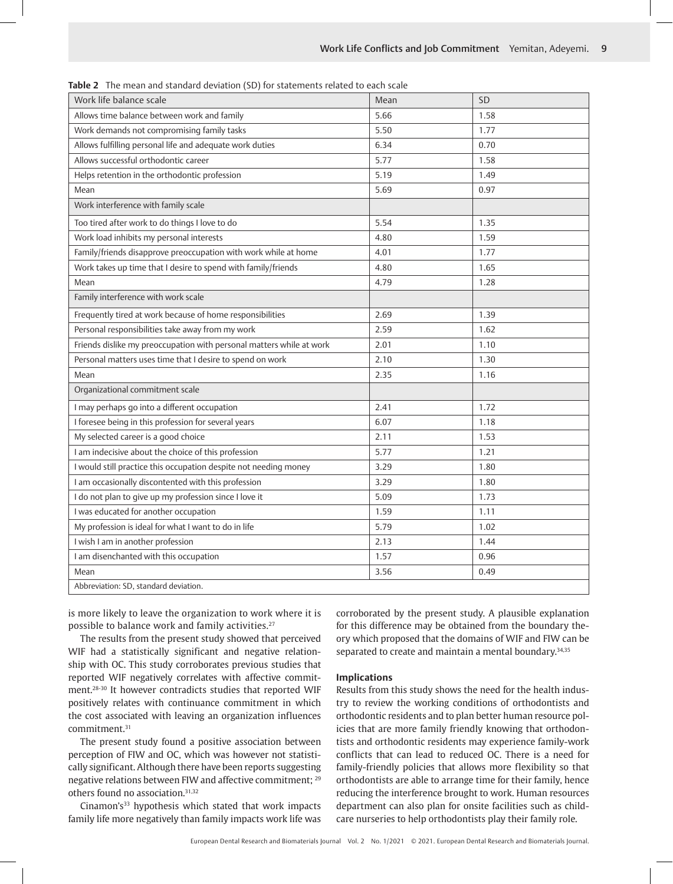| Work life balance scale                                              | Mean | SD   |
|----------------------------------------------------------------------|------|------|
| Allows time balance between work and family                          | 5.66 | 1.58 |
| Work demands not compromising family tasks                           | 5.50 | 1.77 |
| Allows fulfilling personal life and adequate work duties             | 6.34 | 0.70 |
| Allows successful orthodontic career                                 | 5.77 | 1.58 |
| Helps retention in the orthodontic profession                        | 5.19 | 1.49 |
| Mean                                                                 | 5.69 | 0.97 |
| Work interference with family scale                                  |      |      |
| Too tired after work to do things I love to do                       | 5.54 | 1.35 |
| Work load inhibits my personal interests                             | 4.80 | 1.59 |
| Family/friends disapprove preoccupation with work while at home      | 4.01 | 1.77 |
| Work takes up time that I desire to spend with family/friends        | 4.80 | 1.65 |
| Mean                                                                 | 4.79 | 1.28 |
| Family interference with work scale                                  |      |      |
| Frequently tired at work because of home responsibilities            | 2.69 | 1.39 |
| Personal responsibilities take away from my work                     | 2.59 | 1.62 |
| Friends dislike my preoccupation with personal matters while at work | 2.01 | 1.10 |
| Personal matters uses time that I desire to spend on work            | 2.10 | 1.30 |
| Mean                                                                 | 2.35 | 1.16 |
| Organizational commitment scale                                      |      |      |
| I may perhaps go into a different occupation                         | 2.41 | 1.72 |
| I foresee being in this profession for several years                 | 6.07 | 1.18 |
| My selected career is a good choice                                  | 2.11 | 1.53 |
| I am indecisive about the choice of this profession                  | 5.77 | 1.21 |
| I would still practice this occupation despite not needing money     | 3.29 | 1.80 |
| I am occasionally discontented with this profession                  | 3.29 | 1.80 |
| I do not plan to give up my profession since I love it               | 5.09 | 1.73 |
| I was educated for another occupation                                | 1.59 | 1.11 |
| My profession is ideal for what I want to do in life                 | 5.79 | 1.02 |
| I wish I am in another profession                                    | 2.13 | 1.44 |
| I am disenchanted with this occupation                               | 1.57 | 0.96 |
| Mean                                                                 | 3.56 | 0.49 |
| Abbreviation: SD, standard deviation.                                |      |      |

**Table 2** The mean and standard deviation (SD) for statements related to each scale

is more likely to leave the organization to work where it is possible to balance work and family activities.<sup>27</sup>

The results from the present study showed that perceived WIF had a statistically significant and negative relationship with OC. This study corroborates previous studies that reported WIF negatively correlates with affective commitment.28-30 It however contradicts studies that reported WIF positively relates with continuance commitment in which the cost associated with leaving an organization influences commitment.31

The present study found a positive association between perception of FIW and OC, which was however not statistically significant. Although there have been reports suggesting negative relations between FIW and affective commitment; 29 others found no association.<sup>31,32</sup>

Cinamon's<sup>33</sup> hypothesis which stated that work impacts family life more negatively than family impacts work life was corroborated by the present study. A plausible explanation for this difference may be obtained from the boundary theory which proposed that the domains of WIF and FIW can be separated to create and maintain a mental boundary.<sup>34,35</sup>

#### **Implications**

Results from this study shows the need for the health industry to review the working conditions of orthodontists and orthodontic residents and to plan better human resource policies that are more family friendly knowing that orthodontists and orthodontic residents may experience family-work conflicts that can lead to reduced OC. There is a need for family-friendly policies that allows more flexibility so that orthodontists are able to arrange time for their family, hence reducing the interference brought to work. Human resources department can also plan for onsite facilities such as childcare nurseries to help orthodontists play their family role.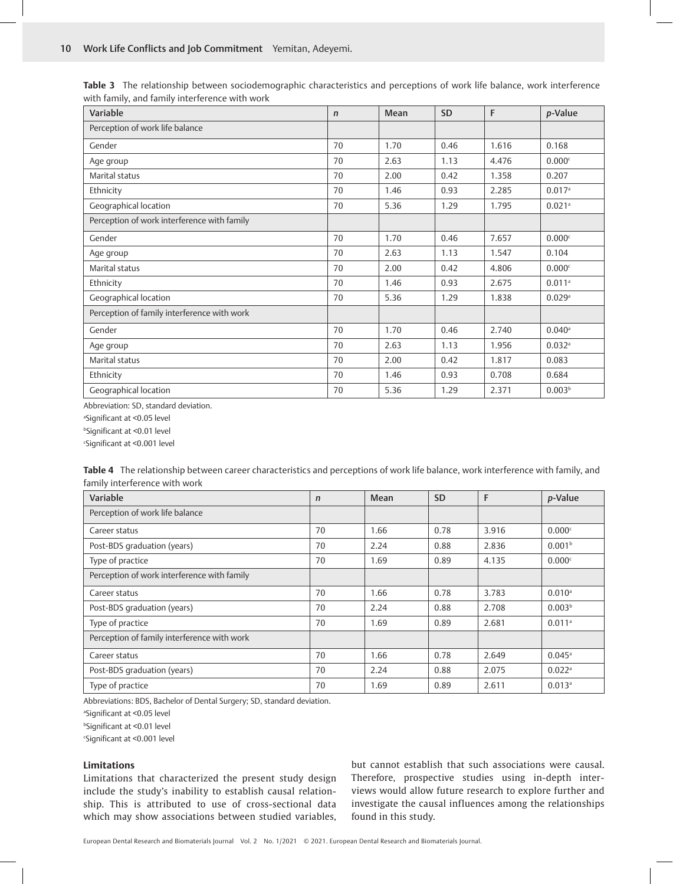| Variable                                    | $\mathsf{n}$ | Mean | <b>SD</b> | F     | <i>p</i> -Value      |
|---------------------------------------------|--------------|------|-----------|-------|----------------------|
| Perception of work life balance             |              |      |           |       |                      |
| Gender                                      | 70           | 1.70 | 0.46      | 1.616 | 0.168                |
| Age group                                   | 70           | 2.63 | 1.13      | 4.476 | 0.000c               |
| Marital status                              | 70           | 2.00 | 0.42      | 1.358 | 0.207                |
| Ethnicity                                   | 70           | 1.46 | 0.93      | 2.285 | 0.017a               |
| Geographical location                       | 70           | 5.36 | 1.29      | 1.795 | 0.021a               |
| Perception of work interference with family |              |      |           |       |                      |
| Gender                                      | 70           | 1.70 | 0.46      | 7.657 | 0.000c               |
| Age group                                   | 70           | 2.63 | 1.13      | 1.547 | 0.104                |
| Marital status                              | 70           | 2.00 | 0.42      | 4.806 | 0.000c               |
| Ethnicity                                   | 70           | 1.46 | 0.93      | 2.675 | $0.011$ <sup>a</sup> |
| Geographical location                       | 70           | 5.36 | 1.29      | 1.838 | 0.029a               |
| Perception of family interference with work |              |      |           |       |                      |
| Gender                                      | 70           | 1.70 | 0.46      | 2.740 | $0.040$ <sup>a</sup> |
| Age group                                   | 70           | 2.63 | 1.13      | 1.956 | 0.032a               |
| Marital status                              | 70           | 2.00 | 0.42      | 1.817 | 0.083                |
| Ethnicity                                   | 70           | 1.46 | 0.93      | 0.708 | 0.684                |
| Geographical location                       | 70           | 5.36 | 1.29      | 2.371 | 0.003 <sup>b</sup>   |

**Table 3** The relationship between sociodemographic characteristics and perceptions of work life balance, work interference with family, and family interference with work

Abbreviation: SD, standard deviation.

a Significant at <0.05 level

b Significant at <0.01 level

c Significant at <0.001 level

**Table 4** The relationship between career characteristics and perceptions of work life balance, work interference with family, and family interference with work

| Variable                                    | $\mathsf{n}$ | Mean | <b>SD</b> | F     | <i>p</i> -Value      |
|---------------------------------------------|--------------|------|-----------|-------|----------------------|
| Perception of work life balance             |              |      |           |       |                      |
| Career status                               | 70           | 1.66 | 0.78      | 3.916 | 0.000c               |
| Post-BDS graduation (years)                 | 70           | 2.24 | 0.88      | 2.836 | 0.001 <sup>b</sup>   |
| Type of practice                            | 70           | 1.69 | 0.89      | 4.135 | 0.000c               |
| Perception of work interference with family |              |      |           |       |                      |
| Career status                               | 70           | 1.66 | 0.78      | 3.783 | $0.010$ <sup>a</sup> |
| Post-BDS graduation (years)                 | 70           | 2.24 | 0.88      | 2.708 | 0.003 <sup>b</sup>   |
| Type of practice                            | 70           | 1.69 | 0.89      | 2.681 | $0.011$ <sup>a</sup> |
| Perception of family interference with work |              |      |           |       |                      |
| Career status                               | 70           | 1.66 | 0.78      | 2.649 | $0.045^{\circ}$      |
| Post-BDS graduation (years)                 | 70           | 2.24 | 0.88      | 2.075 | $0.022$ <sup>a</sup> |
| Type of practice                            | 70           | 1.69 | 0.89      | 2.611 | $0.013$ <sup>a</sup> |

Abbreviations: BDS, Bachelor of Dental Surgery; SD, standard deviation.

a Significant at <0.05 level

b Significant at <0.01 level

c Significant at <0.001 level

#### **Limitations**

Limitations that characterized the present study design include the study's inability to establish causal relationship. This is attributed to use of cross-sectional data which may show associations between studied variables,

but cannot establish that such associations were causal. Therefore, prospective studies using in-depth interviews would allow future research to explore further and investigate the causal influences among the relationships found in this study.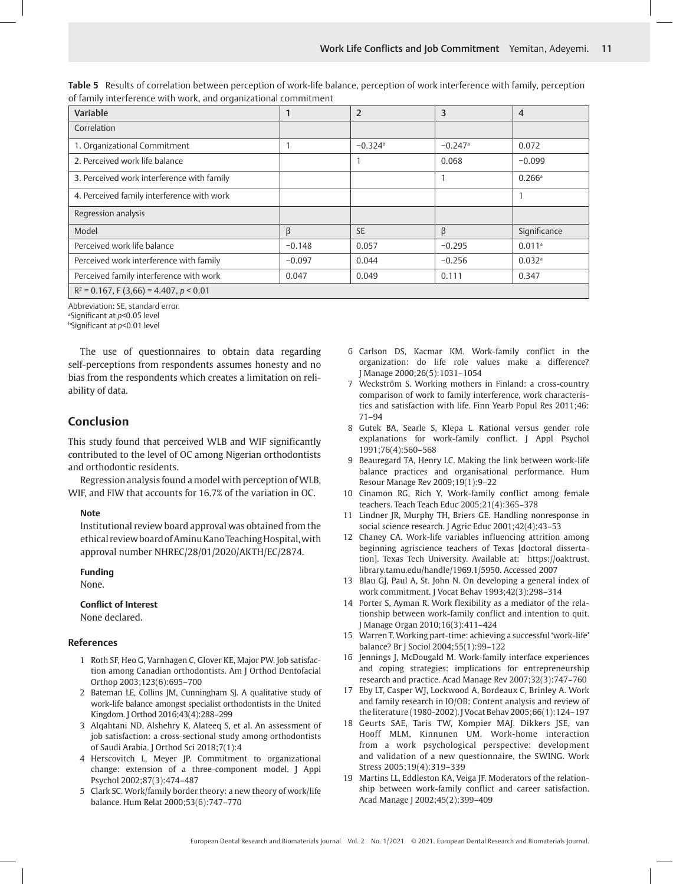| Variable                                   |          | $\overline{2}$ | 3                     | $\overline{4}$       |  |
|--------------------------------------------|----------|----------------|-----------------------|----------------------|--|
| Correlation                                |          |                |                       |                      |  |
| 1. Organizational Commitment               |          | $-0.324^b$     | $-0.247$ <sup>a</sup> | 0.072                |  |
| 2. Perceived work life balance             |          |                | 0.068                 | $-0.099$             |  |
| 3. Perceived work interference with family |          |                |                       | $0.266$ <sup>a</sup> |  |
| 4. Perceived family interference with work |          |                |                       |                      |  |
| Regression analysis                        |          |                |                       |                      |  |
| Model                                      | β        | <b>SE</b>      | β                     | Significance         |  |
| Perceived work life balance                | $-0.148$ | 0.057          | $-0.295$              | $0.011$ <sup>a</sup> |  |
| Perceived work interference with family    | $-0.097$ | 0.044          | $-0.256$              | $0.032$ <sup>a</sup> |  |
| Perceived family interference with work    | 0.047    | 0.049          | 0.111                 | 0.347                |  |
| $D^2$ $0.157$ $0.157$ $0.01$               |          |                |                       |                      |  |

**Table 5** Results of correlation between perception of work-life balance, perception of work interference with family, perception of family interference with work, and organizational commitment

R2 = 0.167, F (3,66) = 4.407, *p* < 0.01

Abbreviation: SE, standard error.

a Significant at *p*<0.05 level

b Significant at *p*<0.01 level

The use of questionnaires to obtain data regarding self-perceptions from respondents assumes honesty and no bias from the respondents which creates a limitation on reliability of data.

## **Conclusion**

This study found that perceived WLB and WIF significantly contributed to the level of OC among Nigerian orthodontists and orthodontic residents.

Regression analysis found a model with perception of WLB, WIF, and FIW that accounts for 16.7% of the variation in OC.

#### **Note**

Institutional review board approval was obtained from the ethical review board of Aminu Kano Teaching Hospital, with approval number NHREC/28/01/2020/AKTH/EC/2874.

# **Funding**

None.

#### **Conflict of Interest**

None declared.

#### **References**

- 1 Roth SF, Heo G, Varnhagen C, Glover KE, Major PW. Job satisfaction among Canadian orthodontists. Am J Orthod Dentofacial Orthop 2003;123(6):695–700
- 2 Bateman LE, Collins JM, Cunningham SJ. A qualitative study of work-life balance amongst specialist orthodontists in the United Kingdom. J Orthod 2016;43(4):288–299
- 3 Alqahtani ND, Alshehry K, Alateeq S, et al. An assessment of job satisfaction: a cross-sectional study among orthodontists of Saudi Arabia. J Orthod Sci 2018;7(1):4
- 4 Herscovitch L, Meyer JP. Commitment to organizational change: extension of a three-component model. J Appl Psychol 2002;87(3):474–487
- 5 Clark SC. Work/family border theory: a new theory of work/life balance. Hum Relat 2000;53(6):747–770
- 6 Carlson DS, Kacmar KM. Work-family conflict in the organization: do life role values make a difference? J Manage 2000;26(5):1031–1054
- 7 Weckström S. Working mothers in Finland: a cross-country comparison of work to family interference, work characteristics and satisfaction with life. Finn Yearb Popul Res 2011;46: 71–94
- 8 Gutek BA, Searle S, Klepa L. Rational versus gender role explanations for work-family conflict. J Appl Psychol 1991;76(4):560–568
- 9 Beauregard TA, Henry LC. Making the link between work-life balance practices and organisational performance. Hum Resour Manage Rev 2009;19(1):9–22
- 10 Cinamon RG, Rich Y. Work-family conflict among female teachers. Teach Teach Educ 2005;21(4):365–378
- 11 Lindner JR, Murphy TH, Briers GE. Handling nonresponse in social science research. J Agric Educ 2001;42(4):43–53
- 12 Chaney CA. Work-life variables influencing attrition among beginning agriscience teachers of Texas [doctoral dissertation]. Texas Tech University. Available at: https://oaktrust. library.tamu.edu/handle/1969.1/5950. Accessed 2007
- 13 Blau GJ, Paul A, St. John N. On developing a general index of work commitment. J Vocat Behav 1993;42(3):298–314
- 14 Porter S, Ayman R. Work flexibility as a mediator of the relationship between work-family conflict and intention to quit. J Manage Organ 2010;16(3):411–424
- 15 Warren T. Working part-time: achieving a successful 'work-life' balance? Br J Sociol 2004;55(1):99–122
- 16 Jennings J, McDougald M. Work-family interface experiences and coping strategies: implications for entrepreneurship research and practice. Acad Manage Rev 2007;32(3):747–760
- 17 Eby LT, Casper WJ, Lockwood A, Bordeaux C, Brinley A. Work and family research in IO/OB: Content analysis and review of the literature (1980-2002). J Vocat Behav 2005;66(1):124–197
- 18 Geurts SAE, Taris TW, Kompier MAJ. Dikkers JSE, van Hooff MLM, Kinnunen UM. Work-home interaction from a work psychological perspective: development and validation of a new questionnaire, the SWING. Work Stress 2005;19(4):319–339
- 19 Martins LL, Eddleston KA, Veiga JF. Moderators of the relationship between work-family conflict and career satisfaction. Acad Manage J 2002;45(2):399–409